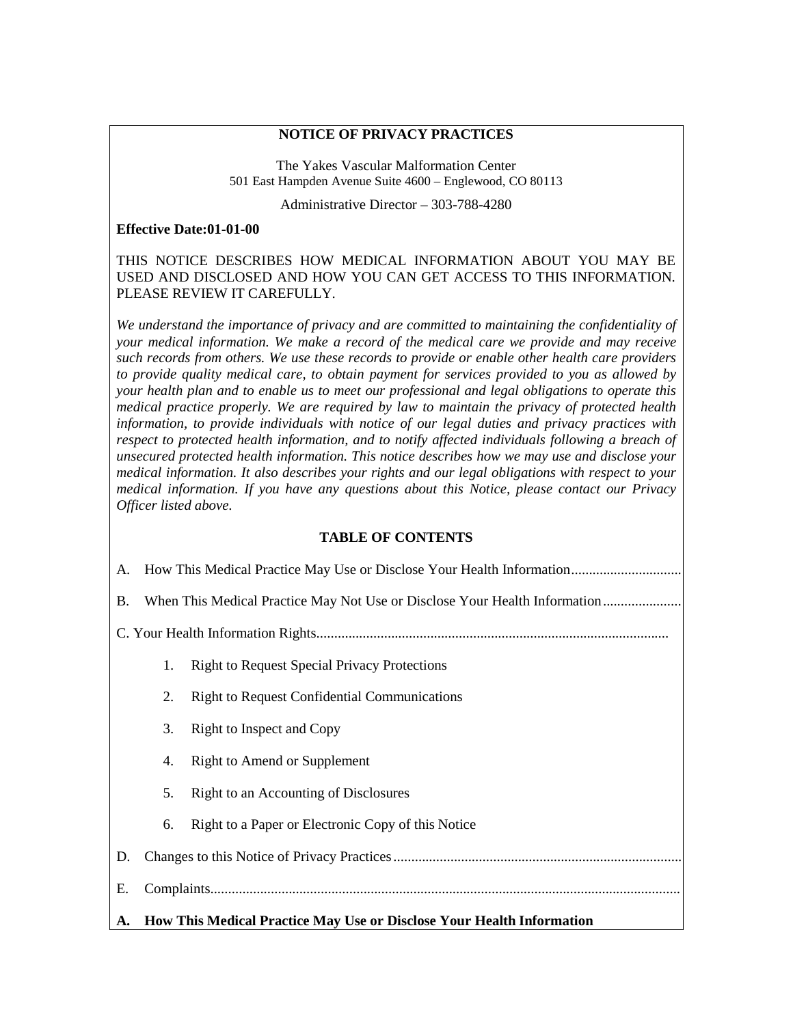### **NOTICE OF PRIVACY PRACTICES**

The Yakes Vascular Malformation Center 501 East Hampden Avenue Suite 4600 – Englewood, CO 80113

Administrative Director – 303-788-4280

#### **Effective Date:01-01-00**

### THIS NOTICE DESCRIBES HOW MEDICAL INFORMATION ABOUT YOU MAY BE USED AND DISCLOSED AND HOW YOU CAN GET ACCESS TO THIS INFORMATION. PLEASE REVIEW IT CAREFULLY.

*We understand the importance of privacy and are committed to maintaining the confidentiality of your medical information. We make a record of the medical care we provide and may receive such records from others. We use these records to provide or enable other health care providers to provide quality medical care, to obtain payment for services provided to you as allowed by your health plan and to enable us to meet our professional and legal obligations to operate this medical practice properly. We are required by law to maintain the privacy of protected health information, to provide individuals with notice of our legal duties and privacy practices with*  respect to protected health information, and to notify affected individuals following a breach of *unsecured protected health information. This notice describes how we may use and disclose your medical information. It also describes your rights and our legal obligations with respect to your medical information. If you have any questions about this Notice, please contact our Privacy Officer listed above.*

## **TABLE OF CONTENTS**

| A. | How This Medical Practice May Use or Disclose Your Health Information      |                                                     |
|----|----------------------------------------------------------------------------|-----------------------------------------------------|
| В. | When This Medical Practice May Not Use or Disclose Your Health Information |                                                     |
|    |                                                                            |                                                     |
|    | 1.                                                                         | <b>Right to Request Special Privacy Protections</b> |
|    | 2.                                                                         | <b>Right to Request Confidential Communications</b> |
|    | 3.                                                                         | Right to Inspect and Copy                           |
|    | 4.                                                                         | <b>Right to Amend or Supplement</b>                 |
|    | 5.                                                                         | Right to an Accounting of Disclosures               |
|    | 6.                                                                         | Right to a Paper or Electronic Copy of this Notice  |
| D. |                                                                            |                                                     |
| Ε. |                                                                            |                                                     |
|    | A. How This Medical Practice May Use or Disclose Your Health Information   |                                                     |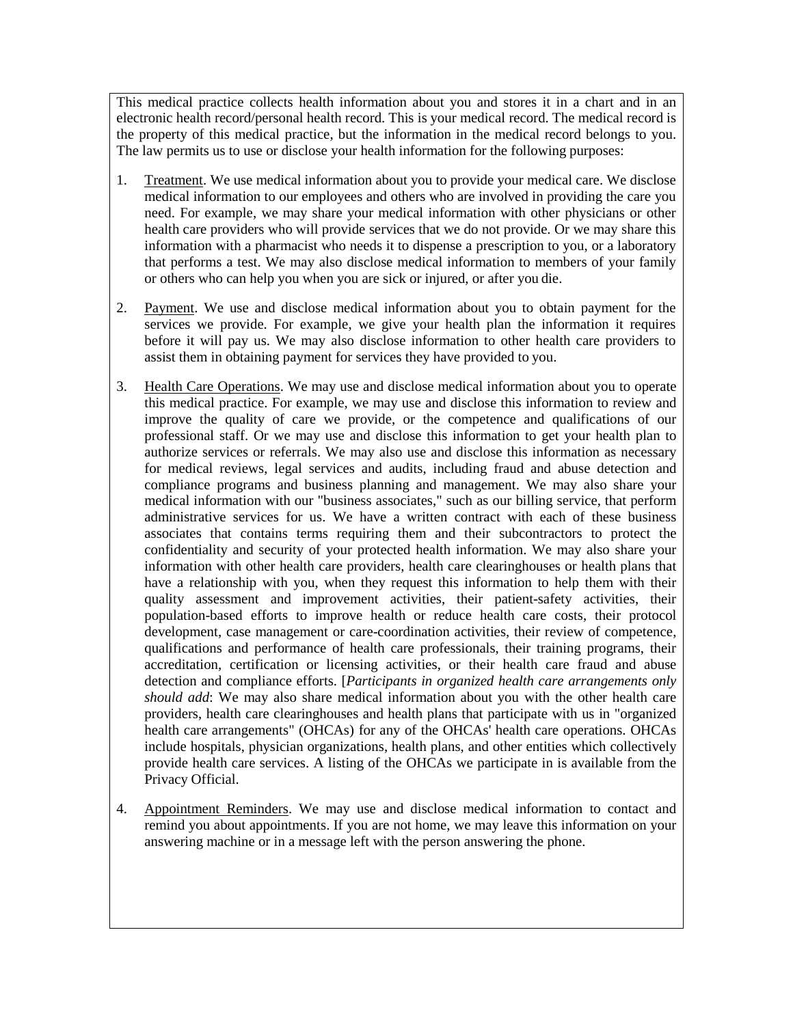This medical practice collects health information about you and stores it in a chart and in an electronic health record/personal health record. This is your medical record. The medical record is the property of this medical practice, but the information in the medical record belongs to you. The law permits us to use or disclose your health information for the following purposes:

- 1. Treatment. We use medical information about you to provide your medical care. We disclose medical information to our employees and others who are involved in providing the care you need. For example, we may share your medical information with other physicians or other health care providers who will provide services that we do not provide. Or we may share this information with a pharmacist who needs it to dispense a prescription to you, or a laboratory that performs a test. We may also disclose medical information to members of your family or others who can help you when you are sick or injured, or after you die.
- 2. Payment. We use and disclose medical information about you to obtain payment for the services we provide. For example, we give your health plan the information it requires before it will pay us. We may also disclose information to other health care providers to assist them in obtaining payment for services they have provided to you.
- 3. Health Care Operations. We may use and disclose medical information about you to operate this medical practice. For example, we may use and disclose this information to review and improve the quality of care we provide, or the competence and qualifications of our professional staff. Or we may use and disclose this information to get your health plan to authorize services or referrals. We may also use and disclose this information as necessary for medical reviews, legal services and audits, including fraud and abuse detection and compliance programs and business planning and management. We may also share your medical information with our "business associates," such as our billing service, that perform administrative services for us. We have a written contract with each of these business associates that contains terms requiring them and their subcontractors to protect the confidentiality and security of your protected health information. We may also share your information with other health care providers, health care clearinghouses or health plans that have a relationship with you, when they request this information to help them with their quality assessment and improvement activities, their patient-safety activities, their population-based efforts to improve health or reduce health care costs, their protocol development, case management or care-coordination activities, their review of competence, qualifications and performance of health care professionals, their training programs, their accreditation, certification or licensing activities, or their health care fraud and abuse detection and compliance efforts. [*Participants in organized health care arrangements only should add*: We may also share medical information about you with the other health care providers, health care clearinghouses and health plans that participate with us in "organized health care arrangements" (OHCAs) for any of the OHCAs' health care operations. OHCAs include hospitals, physician organizations, health plans, and other entities which collectively provide health care services. A listing of the OHCAs we participate in is available from the Privacy Official.
- 4. Appointment Reminders. We may use and disclose medical information to contact and remind you about appointments. If you are not home, we may leave this information on your answering machine or in a message left with the person answering the phone.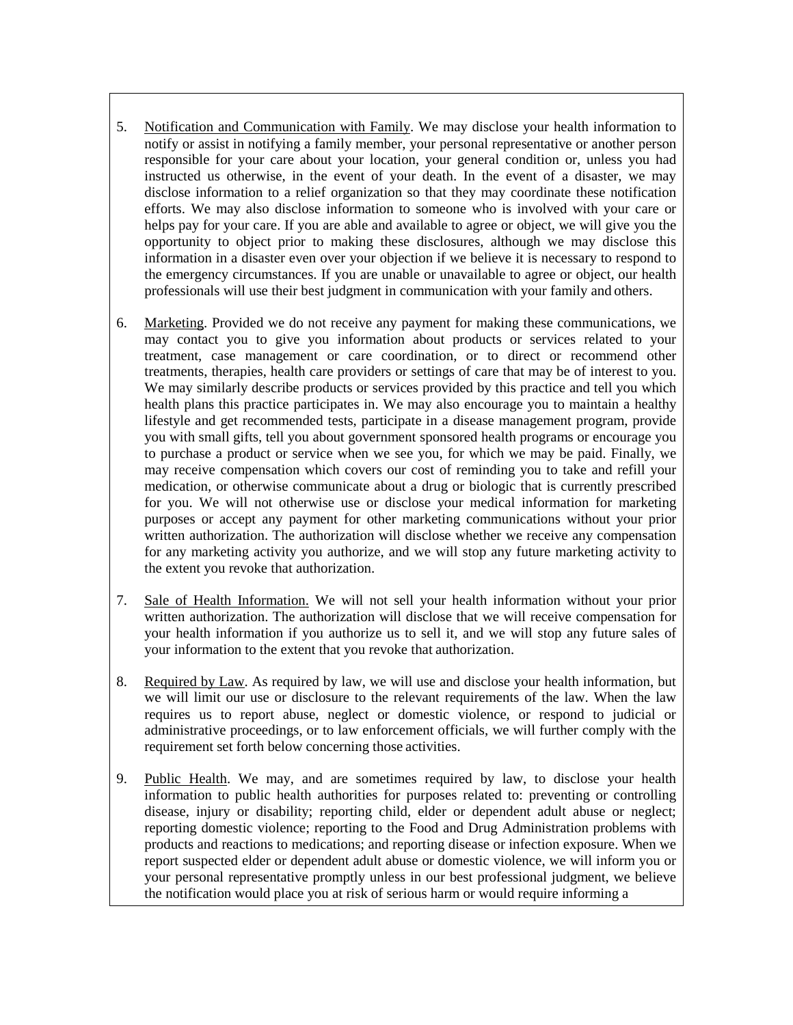- 5. Notification and Communication with Family. We may disclose your health information to notify or assist in notifying a family member, your personal representative or another person responsible for your care about your location, your general condition or, unless you had instructed us otherwise, in the event of your death. In the event of a disaster, we may disclose information to a relief organization so that they may coordinate these notification efforts. We may also disclose information to someone who is involved with your care or helps pay for your care. If you are able and available to agree or object, we will give you the opportunity to object prior to making these disclosures, although we may disclose this information in a disaster even over your objection if we believe it is necessary to respond to the emergency circumstances. If you are unable or unavailable to agree or object, our health professionals will use their best judgment in communication with your family and others.
- 6. Marketing. Provided we do not receive any payment for making these communications, we may contact you to give you information about products or services related to your treatment, case management or care coordination, or to direct or recommend other treatments, therapies, health care providers or settings of care that may be of interest to you. We may similarly describe products or services provided by this practice and tell you which health plans this practice participates in. We may also encourage you to maintain a healthy lifestyle and get recommended tests, participate in a disease management program, provide you with small gifts, tell you about government sponsored health programs or encourage you to purchase a product or service when we see you, for which we may be paid. Finally, we may receive compensation which covers our cost of reminding you to take and refill your medication, or otherwise communicate about a drug or biologic that is currently prescribed for you. We will not otherwise use or disclose your medical information for marketing purposes or accept any payment for other marketing communications without your prior written authorization. The authorization will disclose whether we receive any compensation for any marketing activity you authorize, and we will stop any future marketing activity to the extent you revoke that authorization.
- 7. Sale of Health Information. We will not sell your health information without your prior written authorization. The authorization will disclose that we will receive compensation for your health information if you authorize us to sell it, and we will stop any future sales of your information to the extent that you revoke that authorization.
- 8. Required by Law. As required by law, we will use and disclose your health information, but we will limit our use or disclosure to the relevant requirements of the law. When the law requires us to report abuse, neglect or domestic violence, or respond to judicial or administrative proceedings, or to law enforcement officials, we will further comply with the requirement set forth below concerning those activities.
- 9. Public Health. We may, and are sometimes required by law, to disclose your health information to public health authorities for purposes related to: preventing or controlling disease, injury or disability; reporting child, elder or dependent adult abuse or neglect; reporting domestic violence; reporting to the Food and Drug Administration problems with products and reactions to medications; and reporting disease or infection exposure. When we report suspected elder or dependent adult abuse or domestic violence, we will inform you or your personal representative promptly unless in our best professional judgment, we believe the notification would place you at risk of serious harm or would require informing a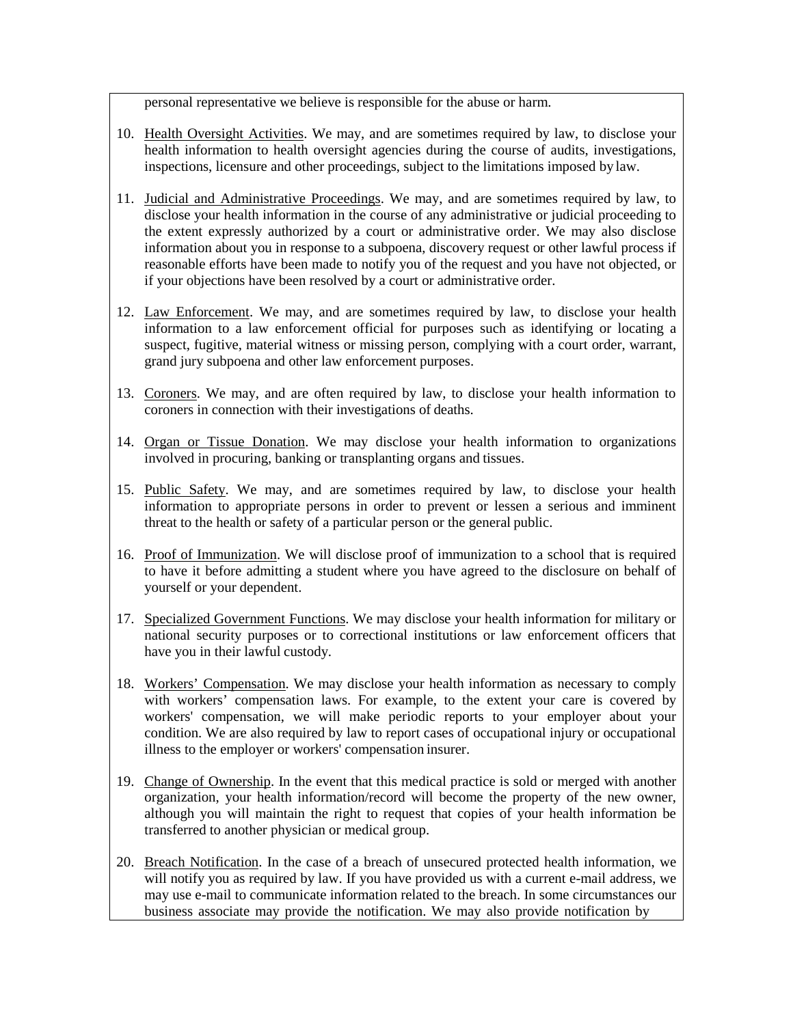personal representative we believe is responsible for the abuse or harm.

- 10. Health Oversight Activities. We may, and are sometimes required by law, to disclose your health information to health oversight agencies during the course of audits, investigations, inspections, licensure and other proceedings, subject to the limitations imposed by law.
- 11. Judicial and Administrative Proceedings. We may, and are sometimes required by law, to disclose your health information in the course of any administrative or judicial proceeding to the extent expressly authorized by a court or administrative order. We may also disclose information about you in response to a subpoena, discovery request or other lawful process if reasonable efforts have been made to notify you of the request and you have not objected, or if your objections have been resolved by a court or administrative order.
- 12. Law Enforcement. We may, and are sometimes required by law, to disclose your health information to a law enforcement official for purposes such as identifying or locating a suspect, fugitive, material witness or missing person, complying with a court order, warrant, grand jury subpoena and other law enforcement purposes.
- 13. Coroners. We may, and are often required by law, to disclose your health information to coroners in connection with their investigations of deaths.
- 14. Organ or Tissue Donation. We may disclose your health information to organizations involved in procuring, banking or transplanting organs and tissues.
- 15. Public Safety. We may, and are sometimes required by law, to disclose your health information to appropriate persons in order to prevent or lessen a serious and imminent threat to the health or safety of a particular person or the general public.
- 16. Proof of Immunization. We will disclose proof of immunization to a school that is required to have it before admitting a student where you have agreed to the disclosure on behalf of yourself or your dependent.
- 17. Specialized Government Functions. We may disclose your health information for military or national security purposes or to correctional institutions or law enforcement officers that have you in their lawful custody.
- 18. Workers' Compensation. We may disclose your health information as necessary to comply with workers' compensation laws. For example, to the extent your care is covered by workers' compensation, we will make periodic reports to your employer about your condition. We are also required by law to report cases of occupational injury or occupational illness to the employer or workers' compensation insurer.
- 19. Change of Ownership. In the event that this medical practice is sold or merged with another organization, your health information/record will become the property of the new owner, although you will maintain the right to request that copies of your health information be transferred to another physician or medical group.
- 20. Breach Notification. In the case of a breach of unsecured protected health information, we will notify you as required by law. If you have provided us with a current e-mail address, we may use e-mail to communicate information related to the breach. In some circumstances our business associate may provide the notification. We may also provide notification by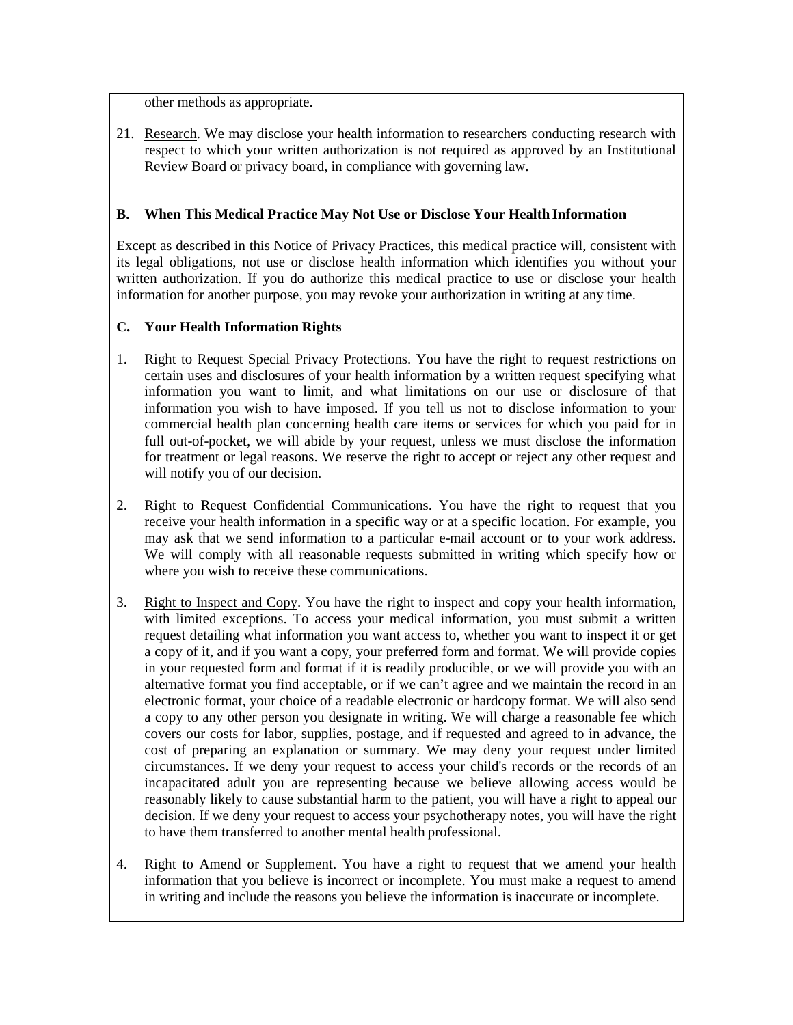other methods as appropriate.

21. Research. We may disclose your health information to researchers conducting research with respect to which your written authorization is not required as approved by an Institutional Review Board or privacy board, in compliance with governing law.

# **B. When This Medical Practice May Not Use or Disclose Your Health Information**

Except as described in this Notice of Privacy Practices, this medical practice will, consistent with its legal obligations, not use or disclose health information which identifies you without your written authorization. If you do authorize this medical practice to use or disclose your health information for another purpose, you may revoke your authorization in writing at any time.

## **C. Your Health Information Rights**

- 1. Right to Request Special Privacy Protections. You have the right to request restrictions on certain uses and disclosures of your health information by a written request specifying what information you want to limit, and what limitations on our use or disclosure of that information you wish to have imposed. If you tell us not to disclose information to your commercial health plan concerning health care items or services for which you paid for in full out-of-pocket, we will abide by your request, unless we must disclose the information for treatment or legal reasons. We reserve the right to accept or reject any other request and will notify you of our decision.
- 2. Right to Request Confidential Communications. You have the right to request that you receive your health information in a specific way or at a specific location. For example, you may ask that we send information to a particular e-mail account or to your work address. We will comply with all reasonable requests submitted in writing which specify how or where you wish to receive these communications.
- 3. Right to Inspect and Copy. You have the right to inspect and copy your health information, with limited exceptions. To access your medical information, you must submit a written request detailing what information you want access to, whether you want to inspect it or get a copy of it, and if you want a copy, your preferred form and format. We will provide copies in your requested form and format if it is readily producible, or we will provide you with an alternative format you find acceptable, or if we can't agree and we maintain the record in an electronic format, your choice of a readable electronic or hardcopy format. We will also send a copy to any other person you designate in writing. We will charge a reasonable fee which covers our costs for labor, supplies, postage, and if requested and agreed to in advance, the cost of preparing an explanation or summary. We may deny your request under limited circumstances. If we deny your request to access your child's records or the records of an incapacitated adult you are representing because we believe allowing access would be reasonably likely to cause substantial harm to the patient, you will have a right to appeal our decision. If we deny your request to access your psychotherapy notes, you will have the right to have them transferred to another mental health professional.
- 4. Right to Amend or Supplement. You have a right to request that we amend your health information that you believe is incorrect or incomplete. You must make a request to amend in writing and include the reasons you believe the information is inaccurate or incomplete.